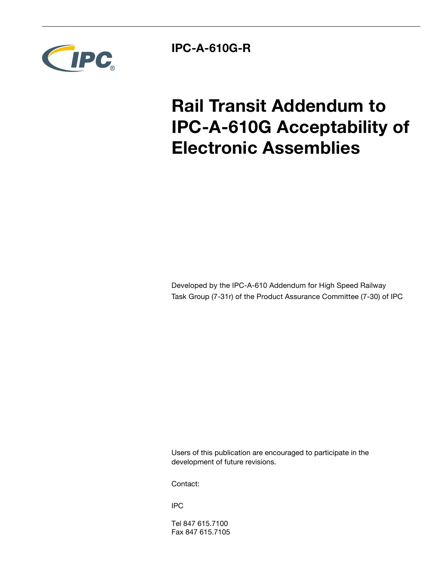

**IPC-A-610G-R**

# **Rail Transit Addendum to IPC-A-610G Acceptability of Electronic Assemblies**

Developed by the IPC-A-610 Addendum for High Speed Railway Task Group (7-31r) of the Product Assurance Committee (7-30) of IPC

Users of this publication are encouraged to participate in the development of future revisions.

Contact:

IPC

Tel 847 615.7100 Fax 847 615.7105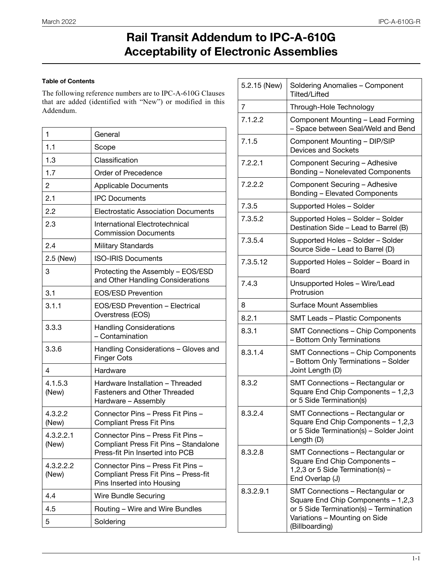### **Rail Transit Addendum to IPC-A-610G Acceptability of Electronic Assemblies**

#### **Table of Contents**

The following reference numbers are to IPC-A-610G Clauses that are added (identified with "New") or modified in this Addendum.

| 1                  | General                                                                                                       |
|--------------------|---------------------------------------------------------------------------------------------------------------|
| 1.1                | Scope                                                                                                         |
| 1.3                | Classification                                                                                                |
| 1.7                | Order of Precedence                                                                                           |
| 2                  | <b>Applicable Documents</b>                                                                                   |
| 2.1                | <b>IPC Documents</b>                                                                                          |
| 2.2                | <b>Electrostatic Association Documents</b>                                                                    |
| 2.3                | International Electrotechnical<br><b>Commission Documents</b>                                                 |
| 2.4                | <b>Military Standards</b>                                                                                     |
| 2.5 (New)          | <b>ISO-IRIS Documents</b>                                                                                     |
| 3                  | Protecting the Assembly - EOS/ESD<br>and Other Handling Considerations                                        |
| 3.1                | <b>EOS/ESD Prevention</b>                                                                                     |
| 3.1.1              | EOS/ESD Prevention - Electrical<br>Overstress (EOS)                                                           |
| 3.3.3              | <b>Handling Considerations</b><br>- Contamination                                                             |
| 3.3.6              | Handling Considerations - Gloves and<br><b>Finger Cots</b>                                                    |
| 4                  | Hardware                                                                                                      |
| 4.1.5.3<br>(New)   | Hardware Installation - Threaded<br><b>Fasteners and Other Threaded</b><br>Hardware - Assembly                |
| 4.3.2.2<br>(New)   | Connector Pins - Press Fit Pins -<br><b>Compliant Press Fit Pins</b>                                          |
| 4.3.2.2.1<br>(New) | Connector Pins - Press Fit Pins -<br>Compliant Press Fit Pins - Standalone<br>Press-fit Pin Inserted into PCB |
| 4.3.2.2.2<br>(New) | Connector Pins - Press Fit Pins -<br>Compliant Press Fit Pins - Press-fit<br>Pins Inserted into Housing       |
| 4.4                | <b>Wire Bundle Securing</b>                                                                                   |
| 4.5                | Routing - Wire and Wire Bundles                                                                               |
| 5                  | Soldering                                                                                                     |

| 5.2.15 (New) | Soldering Anomalies - Component<br><b>Tilted/Lifted</b>                                                                                                             |
|--------------|---------------------------------------------------------------------------------------------------------------------------------------------------------------------|
| 7            | Through-Hole Technology                                                                                                                                             |
| 7.1.2.2      | Component Mounting - Lead Forming<br>- Space between Seal/Weld and Bend                                                                                             |
| 7.1.5        | Component Mounting - DIP/SIP<br><b>Devices and Sockets</b>                                                                                                          |
| 7.2.2.1      | Component Securing - Adhesive<br>Bonding - Nonelevated Components                                                                                                   |
| 7.2.2.2      | Component Securing - Adhesive<br>Bonding - Elevated Components                                                                                                      |
| 7.3.5        | Supported Holes - Solder                                                                                                                                            |
| 7.3.5.2      | Supported Holes - Solder - Solder<br>Destination Side - Lead to Barrel (B)                                                                                          |
| 7.3.5.4      | Supported Holes - Solder - Solder<br>Source Side - Lead to Barrel (D)                                                                                               |
| 7.3.5.12     | Supported Holes - Solder - Board in<br>Board                                                                                                                        |
| 7.4.3        | Unsupported Holes - Wire/Lead<br>Protrusion                                                                                                                         |
| 8            | <b>Surface Mount Assemblies</b>                                                                                                                                     |
| 8.2.1        | <b>SMT Leads - Plastic Components</b>                                                                                                                               |
| 8.3.1        | <b>SMT Connections - Chip Components</b><br>- Bottom Only Terminations                                                                                              |
| 8.3.1.4      | <b>SMT Connections - Chip Components</b><br>- Bottom Only Terminations - Solder<br>Joint Length (D)                                                                 |
| 8.3.2        | SMT Connections - Rectangular or<br>Square End Chip Components - 1,2,3<br>or 5 Side Termination(s)                                                                  |
| 8.3.2.4      | SMT Connections - Rectangular or<br>Square End Chip Components - 1,2,3<br>or 5 Side Termination(s) - Solder Joint<br>Length (D)                                     |
| 8.3.2.8      | SMT Connections - Rectangular or<br>Square End Chip Components -<br>1,2,3 or 5 Side Termination(s) -<br>End Overlap (J)                                             |
| 8.3.2.9.1    | SMT Connections - Rectangular or<br>Square End Chip Components - 1,2,3<br>or 5 Side Termination(s) - Termination<br>Variations - Mounting on Side<br>(Billboarding) |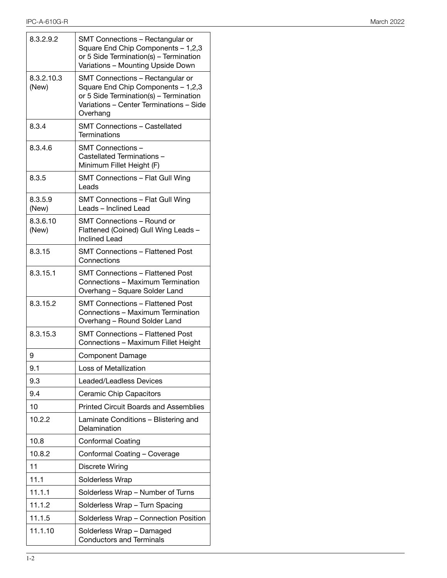| 8.3.2.9.2           | SMT Connections - Rectangular or<br>Square End Chip Components - 1,2,3<br>or 5 Side Termination(s) - Termination<br>Variations - Mounting Upside Down                   |
|---------------------|-------------------------------------------------------------------------------------------------------------------------------------------------------------------------|
| 8.3.2.10.3<br>(New) | SMT Connections - Rectangular or<br>Square End Chip Components - 1,2,3<br>or 5 Side Termination(s) - Termination<br>Variations - Center Terminations - Side<br>Overhang |
| 8.3.4               | <b>SMT Connections - Castellated</b><br><b>Terminations</b>                                                                                                             |
| 8.3.4.6             | SMT Connections -<br>Castellated Terminations -<br>Minimum Fillet Height (F)                                                                                            |
| 8.3.5               | SMT Connections - Flat Gull Wing<br>Leads                                                                                                                               |
| 8.3.5.9<br>(New)    | SMT Connections - Flat Gull Wing<br>Leads - Inclined Lead                                                                                                               |
| 8.3.6.10<br>(New)   | SMT Connections - Round or<br>Flattened (Coined) Gull Wing Leads -<br><b>Inclined Lead</b>                                                                              |
| 8.3.15              | <b>SMT Connections - Flattened Post</b><br>Connections                                                                                                                  |
| 8.3.15.1            | <b>SMT Connections - Flattened Post</b><br>Connections - Maximum Termination<br>Overhang - Square Solder Land                                                           |
| 8.3.15.2            | <b>SMT Connections - Flattened Post</b><br>Connections - Maximum Termination<br>Overhang - Round Solder Land                                                            |
| 8.3.15.3            | <b>SMT Connections - Flattened Post</b><br>Connections - Maximum Fillet Height                                                                                          |
| 9                   | <b>Component Damage</b>                                                                                                                                                 |
| 9.1                 | Loss of Metallization                                                                                                                                                   |
| 9.3                 | Leaded/Leadless Devices                                                                                                                                                 |
| 9.4                 | <b>Ceramic Chip Capacitors</b>                                                                                                                                          |
| 10                  | <b>Printed Circuit Boards and Assemblies</b>                                                                                                                            |
| 10.2.2              | Laminate Conditions - Blistering and<br>Delamination                                                                                                                    |
| 10.8                | <b>Conformal Coating</b>                                                                                                                                                |
| 10.8.2              | Conformal Coating - Coverage                                                                                                                                            |
| 11                  | Discrete Wiring                                                                                                                                                         |
| 11.1                | Solderless Wrap                                                                                                                                                         |
| 11.1.1              | Solderless Wrap - Number of Turns                                                                                                                                       |
| 11.1.2              | Solderless Wrap - Turn Spacing                                                                                                                                          |
| 11.1.5              | Solderless Wrap - Connection Position                                                                                                                                   |
| 11.1.10             | Solderless Wrap - Damaged<br><b>Conductors and Terminals</b>                                                                                                            |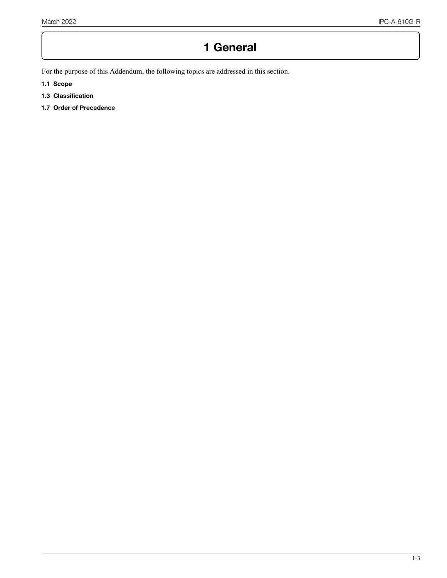## **1 General**

For the purpose of this Addendum, the following topics are addressed in this section.

- **1.1 Scope**
- **1.3 Classification**
- **1.7 Order of Precedence**